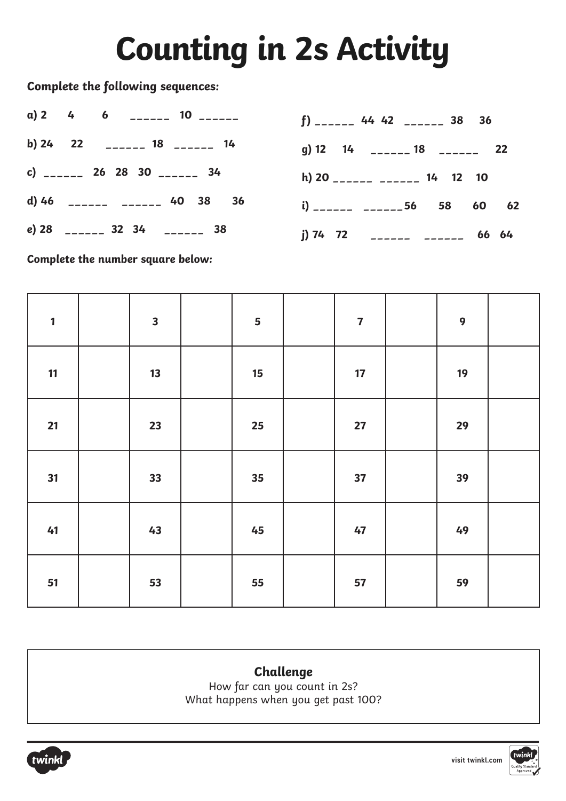## **Counting in 2s Activity**

**Complete the following sequences:** 

|  | a) 2 4 6 $\frac{1}{2}$ 10 $\frac{1}{2}$ | $f)$ ______ 44 42 ______ 38 36    |
|--|-----------------------------------------|-----------------------------------|
|  | b) 24 22 ______ 18 ______ 14            | g) 12 14 ______ 18 ______ 22      |
|  | c) ______ 26 28 30 ______ 34            | h) $20$ ________ _______ 14 12 10 |
|  | d) 46 ______ ______ 40 38 36            | i) ______ _______ 56 58 60 62     |
|  | e) 28 ______ 32 34 ______ 38            | j) 74 72 ______ ______ 66 64      |

**Complete the number square below:**

| $\mathbf{1}$ | $\overline{\mathbf{3}}$ | 5                | $\overline{\mathbf{7}}$ | $\boldsymbol{9}$ |  |
|--------------|-------------------------|------------------|-------------------------|------------------|--|
| 11           | 13                      | $15\phantom{.0}$ | 17                      | 19               |  |
| 21           | 23                      | 25               | 27                      | 29               |  |
| 31           | 33                      | 35               | 37                      | 39               |  |
| 41           | 43                      | 45               | 47                      | 49               |  |
| 51           | 53                      | 55               | 57                      | 59               |  |

### **Challenge**

How far can you count in 2s? What happens when you get past 100?